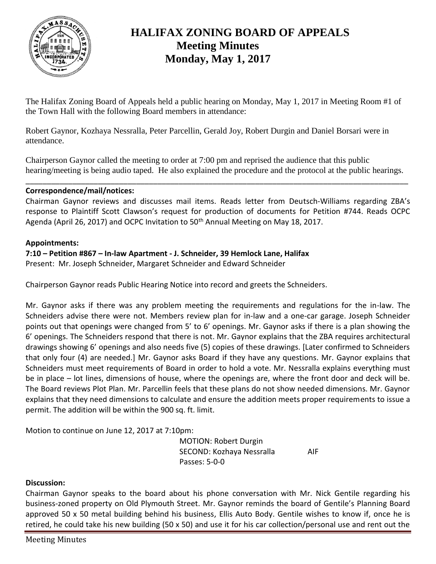

# **HALIFAX ZONING BOARD OF APPEALS Meeting Minutes Monday, May 1, 2017**

The Halifax Zoning Board of Appeals held a public hearing on Monday, May 1, 2017 in Meeting Room #1 of the Town Hall with the following Board members in attendance:

Robert Gaynor, Kozhaya Nessralla, Peter Parcellin, Gerald Joy, Robert Durgin and Daniel Borsari were in attendance.

Chairperson Gaynor called the meeting to order at 7:00 pm and reprised the audience that this public hearing/meeting is being audio taped. He also explained the procedure and the protocol at the public hearings.

\_\_\_\_\_\_\_\_\_\_\_\_\_\_\_\_\_\_\_\_\_\_\_\_\_\_\_\_\_\_\_\_\_\_\_\_\_\_\_\_\_\_\_\_\_\_\_\_\_\_\_\_\_\_\_\_\_\_\_\_\_\_\_\_\_\_\_\_\_\_\_\_\_\_\_\_\_\_\_\_\_\_\_\_\_\_\_\_\_\_

## **Correspondence/mail/notices:**

Chairman Gaynor reviews and discusses mail items. Reads letter from Deutsch-Williams regarding ZBA's response to Plaintiff Scott Clawson's request for production of documents for Petition #744. Reads OCPC Agenda (April 26, 2017) and OCPC Invitation to 50<sup>th</sup> Annual Meeting on May 18, 2017.

## **Appointments:**

# **7:10 – Petition #867 – In-law Apartment - J. Schneider, 39 Hemlock Lane, Halifax**

Present: Mr. Joseph Schneider, Margaret Schneider and Edward Schneider

Chairperson Gaynor reads Public Hearing Notice into record and greets the Schneiders.

Mr. Gaynor asks if there was any problem meeting the requirements and regulations for the in-law. The Schneiders advise there were not. Members review plan for in-law and a one-car garage. Joseph Schneider points out that openings were changed from 5' to 6' openings. Mr. Gaynor asks if there is a plan showing the 6' openings. The Schneiders respond that there is not. Mr. Gaynor explains that the ZBA requires architectural drawings showing 6' openings and also needs five (5) copies of these drawings. [Later confirmed to Schneiders that only four (4) are needed.] Mr. Gaynor asks Board if they have any questions. Mr. Gaynor explains that Schneiders must meet requirements of Board in order to hold a vote. Mr. Nessralla explains everything must be in place – lot lines, dimensions of house, where the openings are, where the front door and deck will be. The Board reviews Plot Plan. Mr. Parcellin feels that these plans do not show needed dimensions. Mr. Gaynor explains that they need dimensions to calculate and ensure the addition meets proper requirements to issue a permit. The addition will be within the 900 sq. ft. limit.

Motion to continue on June 12, 2017 at 7:10pm:

MOTION: Robert Durgin SECOND: Kozhaya Nessralla AIF Passes: 5-0-0

## **Discussion:**

Chairman Gaynor speaks to the board about his phone conversation with Mr. Nick Gentile regarding his business-zoned property on Old Plymouth Street. Mr. Gaynor reminds the board of Gentile's Planning Board approved 50 x 50 metal building behind his business, Ellis Auto Body. Gentile wishes to know if, once he is retired, he could take his new building (50 x 50) and use it for his car collection/personal use and rent out the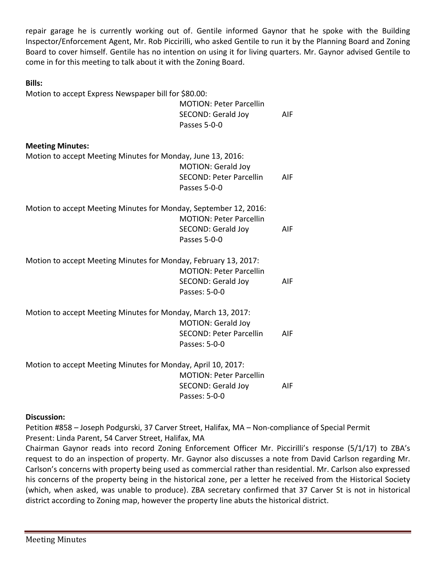repair garage he is currently working out of. Gentile informed Gaynor that he spoke with the Building Inspector/Enforcement Agent, Mr. Rob Piccirilli, who asked Gentile to run it by the Planning Board and Zoning Board to cover himself. Gentile has no intention on using it for living quarters. Mr. Gaynor advised Gentile to come in for this meeting to talk about it with the Zoning Board.

#### **Bills:**

Motion to accept Express Newspaper bill for \$80.00:

|                                                                  | <b>MOTION: Peter Parcellin</b><br>SECOND: Gerald Joy<br>Passes 5-0-0         | AIF |
|------------------------------------------------------------------|------------------------------------------------------------------------------|-----|
| <b>Meeting Minutes:</b>                                          |                                                                              |     |
| Motion to accept Meeting Minutes for Monday, June 13, 2016:      | <b>MOTION: Gerald Joy</b><br><b>SECOND: Peter Parcellin</b><br>Passes 5-0-0  | AIF |
| Motion to accept Meeting Minutes for Monday, September 12, 2016: | <b>MOTION: Peter Parcellin</b><br>SECOND: Gerald Joy<br>Passes 5-0-0         | AIF |
| Motion to accept Meeting Minutes for Monday, February 13, 2017:  | <b>MOTION: Peter Parcellin</b><br>SECOND: Gerald Joy<br>Passes: 5-0-0        | AIF |
| Motion to accept Meeting Minutes for Monday, March 13, 2017:     | <b>MOTION: Gerald Joy</b><br><b>SECOND: Peter Parcellin</b><br>Passes: 5-0-0 | AIF |
| Motion to accept Meeting Minutes for Monday, April 10, 2017:     | <b>MOTION: Peter Parcellin</b><br>SECOND: Gerald Joy<br>Passes: 5-0-0        | AIF |

## **Discussion:**

Petition #858 – Joseph Podgurski, 37 Carver Street, Halifax, MA – Non-compliance of Special Permit Present: Linda Parent, 54 Carver Street, Halifax, MA

Chairman Gaynor reads into record Zoning Enforcement Officer Mr. Piccirilli's response (5/1/17) to ZBA's request to do an inspection of property. Mr. Gaynor also discusses a note from David Carlson regarding Mr. Carlson's concerns with property being used as commercial rather than residential. Mr. Carlson also expressed his concerns of the property being in the historical zone, per a letter he received from the Historical Society (which, when asked, was unable to produce). ZBA secretary confirmed that 37 Carver St is not in historical district according to Zoning map, however the property line abuts the historical district.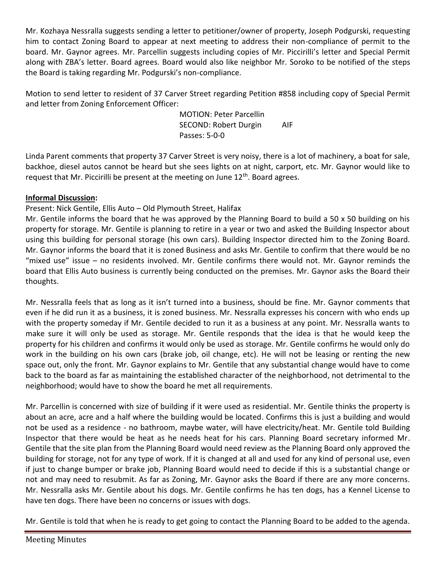Mr. Kozhaya Nessralla suggests sending a letter to petitioner/owner of property, Joseph Podgurski, requesting him to contact Zoning Board to appear at next meeting to address their non-compliance of permit to the board. Mr. Gaynor agrees. Mr. Parcellin suggests including copies of Mr. Piccirilli's letter and Special Permit along with ZBA's letter. Board agrees. Board would also like neighbor Mr. Soroko to be notified of the steps the Board is taking regarding Mr. Podgurski's non-compliance.

Motion to send letter to resident of 37 Carver Street regarding Petition #858 including copy of Special Permit and letter from Zoning Enforcement Officer:

> MOTION: Peter Parcellin SECOND: Robert Durgin AIF Passes: 5-0-0

Linda Parent comments that property 37 Carver Street is very noisy, there is a lot of machinery, a boat for sale, backhoe, diesel autos cannot be heard but she sees lights on at night, carport, etc. Mr. Gaynor would like to request that Mr. Piccirilli be present at the meeting on June 12<sup>th</sup>. Board agrees.

# **Informal Discussion:**

# Present: Nick Gentile, Ellis Auto – Old Plymouth Street, Halifax

Mr. Gentile informs the board that he was approved by the Planning Board to build a 50 x 50 building on his property for storage. Mr. Gentile is planning to retire in a year or two and asked the Building Inspector about using this building for personal storage (his own cars). Building Inspector directed him to the Zoning Board. Mr. Gaynor informs the board that it is zoned Business and asks Mr. Gentile to confirm that there would be no "mixed use" issue – no residents involved. Mr. Gentile confirms there would not. Mr. Gaynor reminds the board that Ellis Auto business is currently being conducted on the premises. Mr. Gaynor asks the Board their thoughts.

Mr. Nessralla feels that as long as it isn't turned into a business, should be fine. Mr. Gaynor comments that even if he did run it as a business, it is zoned business. Mr. Nessralla expresses his concern with who ends up with the property someday if Mr. Gentile decided to run it as a business at any point. Mr. Nessralla wants to make sure it will only be used as storage. Mr. Gentile responds that the idea is that he would keep the property for his children and confirms it would only be used as storage. Mr. Gentile confirms he would only do work in the building on his own cars (brake job, oil change, etc). He will not be leasing or renting the new space out, only the front. Mr. Gaynor explains to Mr. Gentile that any substantial change would have to come back to the board as far as maintaining the established character of the neighborhood, not detrimental to the neighborhood; would have to show the board he met all requirements.

Mr. Parcellin is concerned with size of building if it were used as residential. Mr. Gentile thinks the property is about an acre, acre and a half where the building would be located. Confirms this is just a building and would not be used as a residence - no bathroom, maybe water, will have electricity/heat. Mr. Gentile told Building Inspector that there would be heat as he needs heat for his cars. Planning Board secretary informed Mr. Gentile that the site plan from the Planning Board would need review as the Planning Board only approved the building for storage, not for any type of work. If it is changed at all and used for any kind of personal use, even if just to change bumper or brake job, Planning Board would need to decide if this is a substantial change or not and may need to resubmit. As far as Zoning, Mr. Gaynor asks the Board if there are any more concerns. Mr. Nessralla asks Mr. Gentile about his dogs. Mr. Gentile confirms he has ten dogs, has a Kennel License to have ten dogs. There have been no concerns or issues with dogs.

Mr. Gentile is told that when he is ready to get going to contact the Planning Board to be added to the agenda.